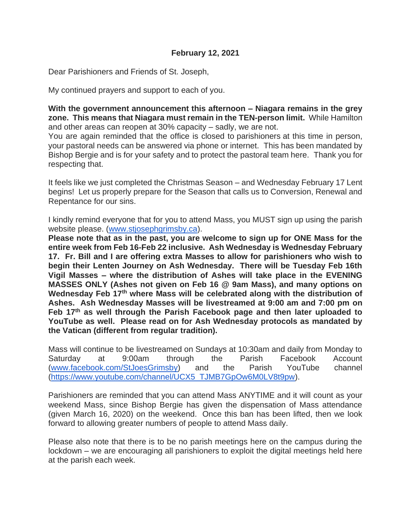Dear Parishioners and Friends of St. Joseph,

My continued prayers and support to each of you.

**With the government announcement this afternoon – Niagara remains in the grey zone. This means that Niagara must remain in the TEN-person limit.** While Hamilton and other areas can reopen at 30% capacity – sadly, we are not.

You are again reminded that the office is closed to parishioners at this time in person, your pastoral needs can be answered via phone or internet. This has been mandated by Bishop Bergie and is for your safety and to protect the pastoral team here. Thank you for respecting that.

It feels like we just completed the Christmas Season – and Wednesday February 17 Lent begins! Let us properly prepare for the Season that calls us to Conversion, Renewal and Repentance for our sins.

I kindly remind everyone that for you to attend Mass, you MUST sign up using the parish website please. [\(www.stjosephgrimsby.ca\)](http://www.stjosephgrimsby.ca/).

**Please note that as in the past, you are welcome to sign up for ONE Mass for the entire week from Feb 16-Feb 22 inclusive. Ash Wednesday is Wednesday February 17. Fr. Bill and I are offering extra Masses to allow for parishioners who wish to begin their Lenten Journey on Ash Wednesday. There will be Tuesday Feb 16th Vigil Masses – where the distribution of Ashes will take place in the EVENING MASSES ONLY (Ashes not given on Feb 16 @ 9am Mass), and many options on Wednesday Feb 17th where Mass will be celebrated along with the distribution of Ashes. Ash Wednesday Masses will be livestreamed at 9:00 am and 7:00 pm on Feb 17th as well through the Parish Facebook page and then later uploaded to YouTube as well. Please read on for Ash Wednesday protocols as mandated by the Vatican (different from regular tradition).** 

Mass will continue to be livestreamed on Sundays at 10:30am and daily from Monday to Saturday at 9:00am through the Parish Facebook Account [\(www.facebook.com/StJoesGrimsby\)](http://www.facebook.com/StJoesGrimsby) and the Parish YouTube channel [\(https://www.youtube.com/channel/UCX5\\_TJMB7GpOw6M0LV8t9pw\)](https://www.youtube.com/channel/UCX5_TJMB7GpOw6M0LV8t9pw).

Parishioners are reminded that you can attend Mass ANYTIME and it will count as your weekend Mass, since Bishop Bergie has given the dispensation of Mass attendance (given March 16, 2020) on the weekend. Once this ban has been lifted, then we look forward to allowing greater numbers of people to attend Mass daily.

Please also note that there is to be no parish meetings here on the campus during the lockdown – we are encouraging all parishioners to exploit the digital meetings held here at the parish each week.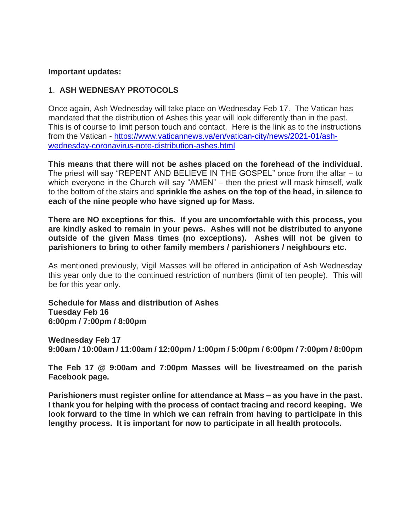#### **Important updates:**

### 1. **ASH WEDNESAY PROTOCOLS**

Once again, Ash Wednesday will take place on Wednesday Feb 17. The Vatican has mandated that the distribution of Ashes this year will look differently than in the past. This is of course to limit person touch and contact. Here is the link as to the instructions from the Vatican - [https://www.vaticannews.va/en/vatican-city/news/2021-01/ash](https://www.vaticannews.va/en/vatican-city/news/2021-01/ash-wednesday-coronavirus-note-distribution-ashes.html)[wednesday-coronavirus-note-distribution-ashes.html](https://www.vaticannews.va/en/vatican-city/news/2021-01/ash-wednesday-coronavirus-note-distribution-ashes.html)

**This means that there will not be ashes placed on the forehead of the individual**. The priest will say "REPENT AND BELIEVE IN THE GOSPEL" once from the altar – to which everyone in the Church will say "AMEN" – then the priest will mask himself, walk to the bottom of the stairs and **sprinkle the ashes on the top of the head, in silence to each of the nine people who have signed up for Mass.** 

**There are NO exceptions for this. If you are uncomfortable with this process, you are kindly asked to remain in your pews. Ashes will not be distributed to anyone outside of the given Mass times (no exceptions). Ashes will not be given to parishioners to bring to other family members / parishioners / neighbours etc.** 

As mentioned previously, Vigil Masses will be offered in anticipation of Ash Wednesday this year only due to the continued restriction of numbers (limit of ten people). This will be for this year only.

**Schedule for Mass and distribution of Ashes Tuesday Feb 16 6:00pm / 7:00pm / 8:00pm**

**Wednesday Feb 17**

**9:00am / 10:00am / 11:00am / 12:00pm / 1:00pm / 5:00pm / 6:00pm / 7:00pm / 8:00pm**

**The Feb 17 @ 9:00am and 7:00pm Masses will be livestreamed on the parish Facebook page.** 

**Parishioners must register online for attendance at Mass – as you have in the past. I thank you for helping with the process of contact tracing and record keeping. We look forward to the time in which we can refrain from having to participate in this lengthy process. It is important for now to participate in all health protocols.**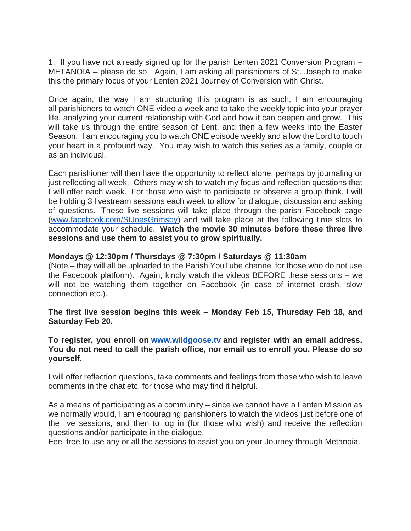1. If you have not already signed up for the parish Lenten 2021 Conversion Program – METANOIA – please do so. Again, I am asking all parishioners of St. Joseph to make this the primary focus of your Lenten 2021 Journey of Conversion with Christ.

Once again, the way I am structuring this program is as such, I am encouraging all parishioners to watch ONE video a week and to take the weekly topic into your prayer life, analyzing your current relationship with God and how it can deepen and grow. This will take us through the entire season of Lent, and then a few weeks into the Easter Season. I am encouraging you to watch ONE episode weekly and allow the Lord to touch your heart in a profound way. You may wish to watch this series as a family, couple or as an individual.

Each parishioner will then have the opportunity to reflect alone, perhaps by journaling or just reflecting all week. Others may wish to watch my focus and reflection questions that I will offer each week. For those who wish to participate or observe a group think, I will be holding 3 livestream sessions each week to allow for dialogue, discussion and asking of questions. These live sessions will take place through the parish Facebook page [\(www.facebook.com/StJoesGrimsby\)](http://www.facebook.com/StJoesGrimsby) and will take place at the following time slots to accommodate your schedule. **Watch the movie 30 minutes before these three live sessions and use them to assist you to grow spiritually.**

### **Mondays @ 12:30pm / Thursdays @ 7:30pm / Saturdays @ 11:30am**

(Note – they will all be uploaded to the Parish YouTube channel for those who do not use the Facebook platform). Again, kindly watch the videos BEFORE these sessions – we will not be watching them together on Facebook (in case of internet crash, slow connection etc.).

**The first live session begins this week – Monday Feb 15, Thursday Feb 18, and Saturday Feb 20.** 

**To register, you enroll on [www.wildgoose.tv](http://www.wildgoose.tv/) and register with an email address. You do not need to call the parish office, nor email us to enroll you. Please do so yourself.**

I will offer reflection questions, take comments and feelings from those who wish to leave comments in the chat etc. for those who may find it helpful.

As a means of participating as a community – since we cannot have a Lenten Mission as we normally would, I am encouraging parishioners to watch the videos just before one of the live sessions, and then to log in (for those who wish) and receive the reflection questions and/or participate in the dialogue.

Feel free to use any or all the sessions to assist you on your Journey through Metanoia.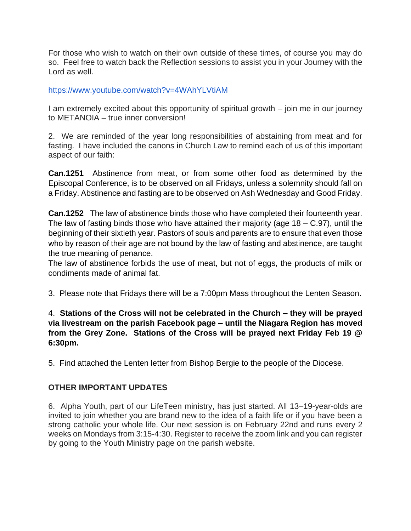For those who wish to watch on their own outside of these times, of course you may do so. Feel free to watch back the Reflection sessions to assist you in your Journey with the Lord as well.

<https://www.youtube.com/watch?v=4WAhYLVtiAM>

I am extremely excited about this opportunity of spiritual growth – join me in our journey to METANOIA – true inner conversion!

2. We are reminded of the year long responsibilities of abstaining from meat and for fasting. I have included the canons in Church Law to remind each of us of this important aspect of our faith:

**Can.1251** Abstinence from meat, or from some other food as determined by the Episcopal Conference, is to be observed on all Fridays, unless a solemnity should fall on a Friday. Abstinence and fasting are to be observed on Ash Wednesday and Good Friday.

**Can.1252** The law of abstinence binds those who have completed their fourteenth year. The law of fasting binds those who have attained their majority (age  $18 - C.97$ ), until the beginning of their sixtieth year. Pastors of souls and parents are to ensure that even those who by reason of their age are not bound by the law of fasting and abstinence, are taught the true meaning of penance.

The law of abstinence forbids the use of meat, but not of eggs, the products of milk or condiments made of animal fat.

3. Please note that Fridays there will be a 7:00pm Mass throughout the Lenten Season.

# 4. **Stations of the Cross will not be celebrated in the Church – they will be prayed via livestream on the parish Facebook page – until the Niagara Region has moved from the Grey Zone. Stations of the Cross will be prayed next Friday Feb 19 @ 6:30pm.**

5. Find attached the Lenten letter from Bishop Bergie to the people of the Diocese.

## **OTHER IMPORTANT UPDATES**

6. Alpha Youth, part of our LifeTeen ministry, has just started. All 13–19-year-olds are invited to join whether you are brand new to the idea of a faith life or if you have been a strong catholic your whole life. Our next session is on February 22nd and runs every 2 weeks on Mondays from 3:15-4:30. Register to receive the zoom link and you can register by going to the Youth Ministry page on the parish website.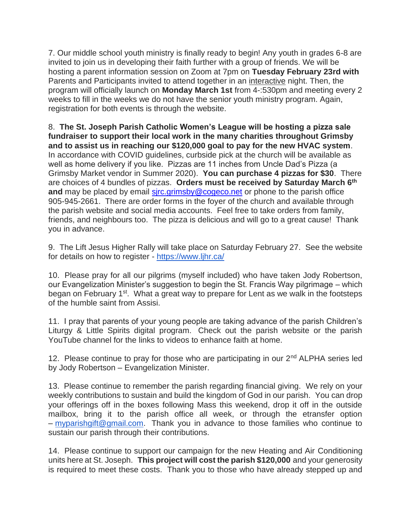7. Our middle school youth ministry is finally ready to begin! Any youth in grades 6-8 are invited to join us in developing their faith further with a group of friends. We will be hosting a parent information session on Zoom at 7pm on **Tuesday February 23rd with** Parents and Participants invited to attend together in an interactive night. Then, the program will officially launch on **Monday March 1st** from 4-:530pm and meeting every 2 weeks to fill in the weeks we do not have the senior youth ministry program. Again, registration for both events is through the website.

8. **The St. Joseph Parish Catholic Women's League will be hosting a pizza sale fundraiser to support their local work in the many charities throughout Grimsby and to assist us in reaching our \$120,000 goal to pay for the new HVAC system**. In accordance with COVID guidelines, curbside pick at the church will be available as well as home delivery if you like. Pizzas are 11 inches from Uncle Dad's Pizza (a Grimsby Market vendor in Summer 2020). **You can purchase 4 pizzas for \$30**. There are choices of 4 bundles of pizzas. **Orders must be received by Saturday March 6th and** may be placed by email sirc.grimsby@cogeco.net or phone to the parish office 905-945-2661. There are order forms in the foyer of the church and available through the parish website and social media accounts. Feel free to take orders from family, friends, and neighbours too. The pizza is delicious and will go to a great cause! Thank you in advance.

9. The Lift Jesus Higher Rally will take place on Saturday February 27. See the website for details on how to register - <https://www.ljhr.ca/>

10. Please pray for all our pilgrims (myself included) who have taken Jody Robertson, our Evangelization Minister's suggestion to begin the St. Francis Way pilgrimage – which began on February 1<sup>st</sup>. What a great way to prepare for Lent as we walk in the footsteps of the humble saint from Assisi.

11. I pray that parents of your young people are taking advance of the parish Children's Liturgy & Little Spirits digital program. Check out the parish website or the parish YouTube channel for the links to videos to enhance faith at home.

12. Please continue to pray for those who are participating in our 2<sup>nd</sup> ALPHA series led by Jody Robertson – Evangelization Minister.

13. Please continue to remember the parish regarding financial giving. We rely on your weekly contributions to sustain and build the kingdom of God in our parish. You can drop your offerings off in the boxes following Mass this weekend, drop it off in the outside mailbox, bring it to the parish office all week, or through the etransfer option – [myparishgift@gmail.com.](mailto:myparishgift@gmail.com) Thank you in advance to those families who continue to sustain our parish through their contributions.

14. Please continue to support our campaign for the new Heating and Air Conditioning units here at St. Joseph. **This project will cost the parish \$120,000** and your generosity is required to meet these costs. Thank you to those who have already stepped up and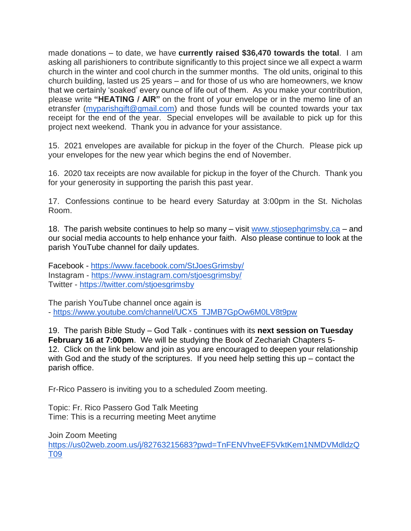made donations – to date, we have **currently raised \$36,470 towards the total**. I am asking all parishioners to contribute significantly to this project since we all expect a warm church in the winter and cool church in the summer months. The old units, original to this church building, lasted us 25 years – and for those of us who are homeowners, we know that we certainly 'soaked' every ounce of life out of them. As you make your contribution, please write **"HEATING / AIR"** on the front of your envelope or in the memo line of an etransfer [\(myparishgift@gmail.com\)](mailto:myparishgift@gmail.com) and those funds will be counted towards your tax receipt for the end of the year. Special envelopes will be available to pick up for this project next weekend. Thank you in advance for your assistance.

15. 2021 envelopes are available for pickup in the foyer of the Church. Please pick up your envelopes for the new year which begins the end of November.

16. 2020 tax receipts are now available for pickup in the foyer of the Church. Thank you for your generosity in supporting the parish this past year.

17. Confessions continue to be heard every Saturday at 3:00pm in the St. Nicholas Room.

18. The parish website continues to help so many – visit [www.stjosephgrimsby.ca](http://www.stjosephgrimsby.ca/) – and our social media accounts to help enhance your faith. Also please continue to look at the parish YouTube channel for daily updates.

Facebook - <https://www.facebook.com/StJoesGrimsby/> Instagram - <https://www.instagram.com/stjoesgrimsby/> Twitter - <https://twitter.com/stjoesgrimsby>

The parish YouTube channel once again is - [https://www.youtube.com/channel/UCX5\\_TJMB7GpOw6M0LV8t9pw](https://www.youtube.com/channel/UCX5_TJMB7GpOw6M0LV8t9pw)

19. The parish Bible Study – God Talk - continues with its **next session on Tuesday February 16 at 7:00pm**. We will be studying the Book of Zechariah Chapters 5- 12. Click on the link below and join as you are encouraged to deepen your relationship with God and the study of the scriptures. If you need help setting this up – contact the parish office.

Fr-Rico Passero is inviting you to a scheduled Zoom meeting.

Topic: Fr. Rico Passero God Talk Meeting Time: This is a recurring meeting Meet anytime

Join Zoom Meeting [https://us02web.zoom.us/j/82763215683?pwd=TnFENVhveEF5VktKem1NMDVMdldzQ](https://us02web.zoom.us/j/82763215683?pwd=TnFENVhveEF5VktKem1NMDVMdldzQT09) [T09](https://us02web.zoom.us/j/82763215683?pwd=TnFENVhveEF5VktKem1NMDVMdldzQT09)